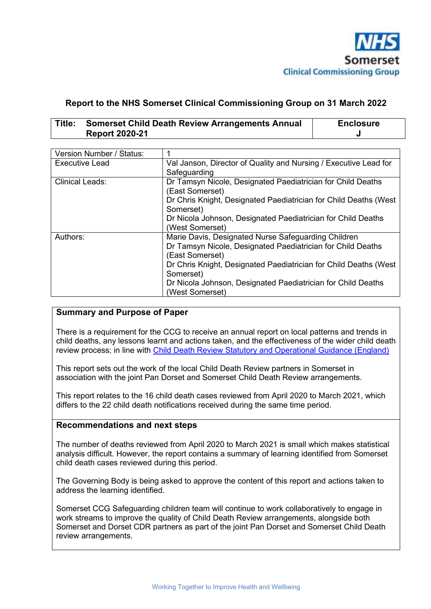

#### **Report to the NHS Somerset Clinical Commissioning Group on 31 March 2022**

| Title: | <b>Somerset Child Death Review Arrangements Annual</b> | <b>Enclosure</b> |
|--------|--------------------------------------------------------|------------------|
|        | <b>Report 2020-21</b>                                  |                  |

| Version Number / Status: |                                                                   |  |  |
|--------------------------|-------------------------------------------------------------------|--|--|
| Executive Lead           | Val Janson, Director of Quality and Nursing / Executive Lead for  |  |  |
|                          | Safeguarding                                                      |  |  |
| <b>Clinical Leads:</b>   | Dr Tamsyn Nicole, Designated Paediatrician for Child Deaths       |  |  |
|                          | (East Somerset)                                                   |  |  |
|                          | Dr Chris Knight, Designated Paediatrician for Child Deaths (West  |  |  |
|                          | Somerset)                                                         |  |  |
|                          | Dr Nicola Johnson, Designated Paediatrician for Child Deaths      |  |  |
|                          | (West Somerset)                                                   |  |  |
| Authors:                 | Marie Davis, Designated Nurse Safeguarding Children               |  |  |
|                          | Dr Tamsyn Nicole, Designated Paediatrician for Child Deaths       |  |  |
|                          | (East Somerset)                                                   |  |  |
|                          | Dr Chris Knight, Designated Paediatrician for Child Deaths (West) |  |  |
|                          | Somerset)                                                         |  |  |
|                          | Dr Nicola Johnson, Designated Paediatrician for Child Deaths      |  |  |
|                          | (West Somerset)                                                   |  |  |

#### **Summary and Purpose of Paper**

There is a requirement for the CCG to receive an annual report on local patterns and trends in child deaths, any lessons learnt and actions taken, and the effectiveness of the wider child death review process; in line with Child Death Review Statutory and Operational Guidance (England)

This report sets out the work of the local Child Death Review partners in Somerset in association with the joint Pan Dorset and Somerset Child Death Review arrangements.

This report relates to the 16 child death cases reviewed from April 2020 to March 2021, which differs to the 22 child death notifications received during the same time period.

#### **Recommendations and next steps**

The number of deaths reviewed from April 2020 to March 2021 is small which makes statistical analysis difficult. However, the report contains a summary of learning identified from Somerset child death cases reviewed during this period.

The Governing Body is being asked to approve the content of this report and actions taken to address the learning identified.

Somerset CCG Safeguarding children team will continue to work collaboratively to engage in work streams to improve the quality of Child Death Review arrangements, alongside both Somerset and Dorset CDR partners as part of the joint Pan Dorset and Somerset Child Death review arrangements.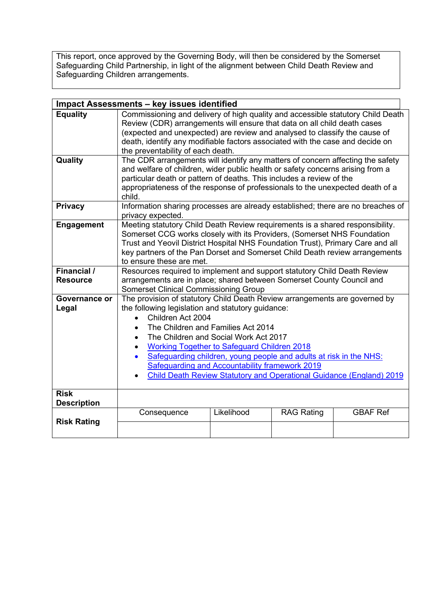This report, once approved by the Governing Body, will then be considered by the Somerset Safeguarding Child Partnership, in light of the alignment between Child Death Review and Safeguarding Children arrangements.

| <b>Impact Assessments - key issues identified</b> |                                                                                                                                                                                                                                                                                                                                                                                                                                                                                           |            |                   |                 |  |  |
|---------------------------------------------------|-------------------------------------------------------------------------------------------------------------------------------------------------------------------------------------------------------------------------------------------------------------------------------------------------------------------------------------------------------------------------------------------------------------------------------------------------------------------------------------------|------------|-------------------|-----------------|--|--|
| <b>Equality</b>                                   | Commissioning and delivery of high quality and accessible statutory Child Death<br>Review (CDR) arrangements will ensure that data on all child death cases<br>(expected and unexpected) are review and analysed to classify the cause of<br>death, identify any modifiable factors associated with the case and decide on<br>the preventability of each death.                                                                                                                           |            |                   |                 |  |  |
| Quality                                           | The CDR arrangements will identify any matters of concern affecting the safety<br>and welfare of children, wider public health or safety concerns arising from a<br>particular death or pattern of deaths. This includes a review of the<br>appropriateness of the response of professionals to the unexpected death of a<br>child.<br>Information sharing processes are already established; there are no breaches of                                                                    |            |                   |                 |  |  |
| <b>Privacy</b>                                    | privacy expected.                                                                                                                                                                                                                                                                                                                                                                                                                                                                         |            |                   |                 |  |  |
| <b>Engagement</b>                                 | Meeting statutory Child Death Review requirements is a shared responsibility.<br>Somerset CCG works closely with its Providers, (Somerset NHS Foundation<br>Trust and Yeovil District Hospital NHS Foundation Trust), Primary Care and all<br>key partners of the Pan Dorset and Somerset Child Death review arrangements<br>to ensure these are met.                                                                                                                                     |            |                   |                 |  |  |
| Financial /<br><b>Resource</b>                    | Resources required to implement and support statutory Child Death Review<br>arrangements are in place; shared between Somerset County Council and<br><b>Somerset Clinical Commissioning Group</b>                                                                                                                                                                                                                                                                                         |            |                   |                 |  |  |
| Governance or<br>Legal                            | The provision of statutory Child Death Review arrangements are governed by<br>the following legislation and statutory guidance:<br>Children Act 2004<br>The Children and Families Act 2014<br>The Children and Social Work Act 2017<br><b>Working Together to Safeguard Children 2018</b><br>Safeguarding children, young people and adults at risk in the NHS:<br>Safeguarding and Accountability framework 2019<br>Child Death Review Statutory and Operational Guidance (England) 2019 |            |                   |                 |  |  |
| <b>Risk</b><br><b>Description</b>                 |                                                                                                                                                                                                                                                                                                                                                                                                                                                                                           |            |                   |                 |  |  |
| <b>Risk Rating</b>                                | Consequence                                                                                                                                                                                                                                                                                                                                                                                                                                                                               | Likelihood | <b>RAG Rating</b> | <b>GBAF Ref</b> |  |  |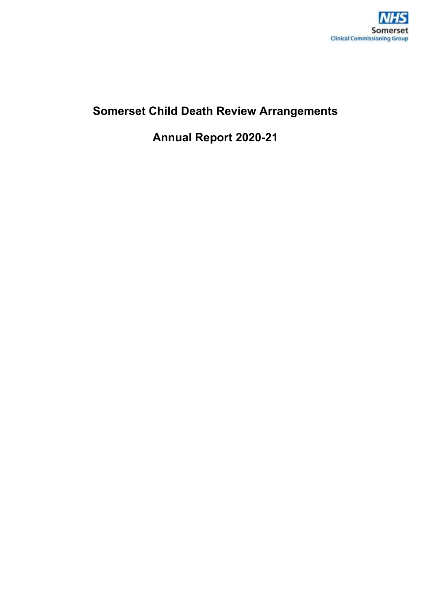

# **Somerset Child Death Review Arrangements**

**Annual Report 2020-21**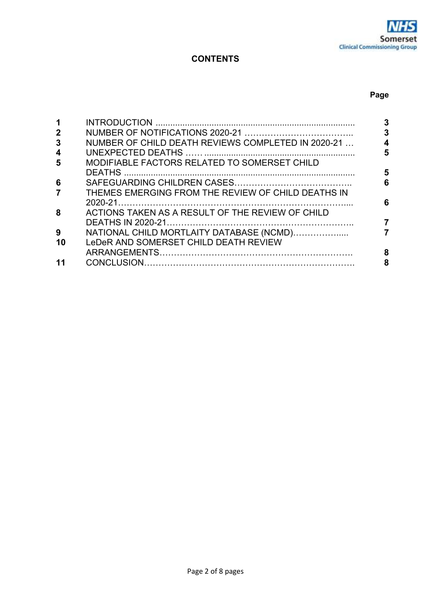## **CONTENTS**

#### **Page**

| $\mathbf 2$           | 3                                                       |
|-----------------------|---------------------------------------------------------|
| 3                     | NUMBER OF CHILD DEATH REVIEWS COMPLETED IN 2020-21      |
| $\boldsymbol{4}$<br>5 | 5<br>MODIFIABLE FACTORS RELATED TO SOMERSET CHILD       |
|                       | 5                                                       |
| 6                     | 6                                                       |
| $\overline{7}$        | THEMES EMERGING FROM THE REVIEW OF CHILD DEATHS IN<br>6 |
| 8                     | ACTIONS TAKEN AS A RESULT OF THE REVIEW OF CHILD        |
| 9                     | NATIONAL CHILD MORTLAITY DATABASE (NCMD)                |
| 10                    | LeDeR AND SOMERSET CHILD DEATH REVIEW                   |
|                       | 8                                                       |
|                       | 8                                                       |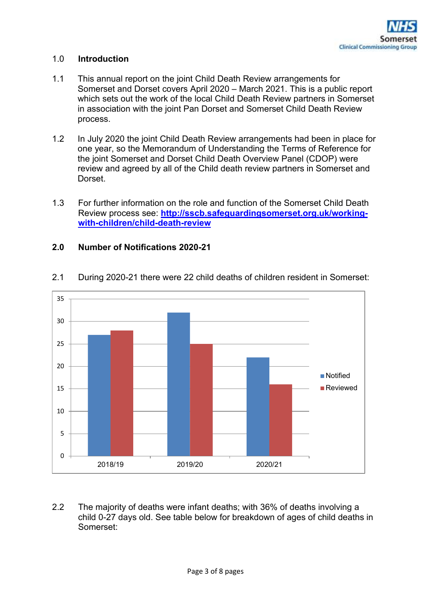

#### 1.0 **Introduction**

- 1.1 This annual report on the joint Child Death Review arrangements for Somerset and Dorset covers April 2020 – March 2021. This is a public report which sets out the work of the local Child Death Review partners in Somerset in association with the joint Pan Dorset and Somerset Child Death Review process.
- 1.2 In July 2020 the joint Child Death Review arrangements had been in place for one year, so the Memorandum of Understanding the Terms of Reference for the joint Somerset and Dorset Child Death Overview Panel (CDOP) were review and agreed by all of the Child death review partners in Somerset and Dorset.
- 1.3 For further information on the role and function of the Somerset Child Death Review process see: **http://sscb.safeguardingsomerset.org.uk/workingwith-children/child-death-review**

#### **2.0 Number of Notifications 2020-21**



2.1 During 2020-21 there were 22 child deaths of children resident in Somerset:

2.2 The majority of deaths were infant deaths; with 36% of deaths involving a child 0-27 days old. See table below for breakdown of ages of child deaths in Somerset: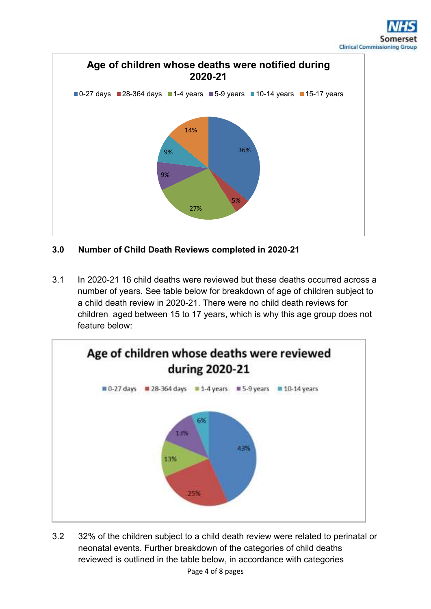

# **3.0 Number of Child Death Reviews completed in 2020-21**

3.1 In 2020-21 16 child deaths were reviewed but these deaths occurred across a number of years. See table below for breakdown of age of children subject to a child death review in 2020-21. There were no child death reviews for children aged between 15 to 17 years, which is why this age group does not feature below:



Page 4 of 8 pages 3.2 32% of the children subject to a child death review were related to perinatal or neonatal events. Further breakdown of the categories of child deaths reviewed is outlined in the table below, in accordance with categories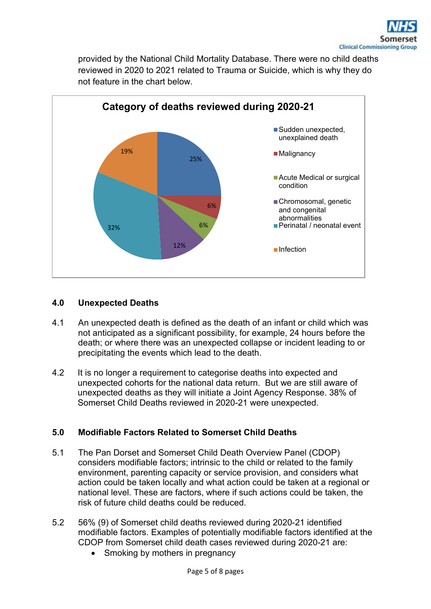provided by the National Child Mortality Database. There were no child deaths reviewed in 2020 to 2021 related to Trauma or Suicide, which is why they do not feature in the chart below.



## **4.0 Unexpected Deaths**

- 4.1 An unexpected death is defined as the death of an infant or child which was not anticipated as a significant possibility, for example, 24 hours before the death; or where there was an unexpected collapse or incident leading to or precipitating the events which lead to the death.
- 4.2 It is no longer a requirement to categorise deaths into expected and unexpected cohorts for the national data return. But we are still aware of unexpected deaths as they will initiate a Joint Agency Response. 38% of Somerset Child Deaths reviewed in 2020-21 were unexpected.

## **5.0 Modifiable Factors Related to Somerset Child Deaths**

- 5.1 The Pan Dorset and Somerset Child Death Overview Panel (CDOP) considers modifiable factors; intrinsic to the child or related to the family environment, parenting capacity or service provision, and considers what action could be taken locally and what action could be taken at a regional or national level. These are factors, where if such actions could be taken, the risk of future child deaths could be reduced.
- 5.2 56% (9) of Somerset child deaths reviewed during 2020-21 identified modifiable factors. Examples of potentially modifiable factors identified at the CDOP from Somerset child death cases reviewed during 2020-21 are:
	- Smoking by mothers in pregnancy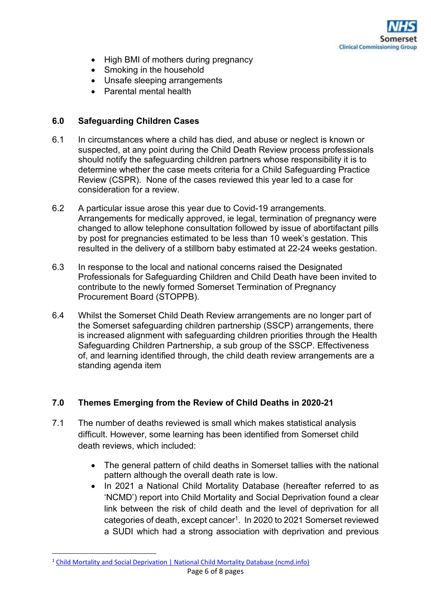

- High BMI of mothers during pregnancy
- Smoking in the household
- Unsafe sleeping arrangements
- Parental mental health

## **6.0 Safeguarding Children Cases**

- 6.1 In circumstances where a child has died, and abuse or neglect is known or suspected, at any point during the Child Death Review process professionals should notify the safeguarding children partners whose responsibility it is to determine whether the case meets criteria for a Child Safeguarding Practice Review (CSPR). None of the cases reviewed this year led to a case for consideration for a review.
- 6.2 A particular issue arose this year due to Covid-19 arrangements. Arrangements for medically approved, ie legal, termination of pregnancy were changed to allow telephone consultation followed by issue of abortifactant pills by post for pregnancies estimated to be less than 10 week's gestation. This resulted in the delivery of a stillborn baby estimated at 22-24 weeks gestation.
- 6.3 In response to the local and national concerns raised the Designated Professionals for Safeguarding Children and Child Death have been invited to contribute to the newly formed Somerset Termination of Pregnancy Procurement Board (STOPPB).
- 6.4 Whilst the Somerset Child Death Review arrangements are no longer part of the Somerset safeguarding children partnership (SSCP) arrangements, there is increased alignment with safeguarding children priorities through the Health Safeguarding Children Partnership, a sub group of the SSCP. Effectiveness of, and learning identified through, the child death review arrangements are a standing agenda item

## **7.0 Themes Emerging from the Review of Child Deaths in 2020-21**

- 7.1 The number of deaths reviewed is small which makes statistical analysis difficult. However, some learning has been identified from Somerset child death reviews, which included:
	- The general pattern of child deaths in Somerset tallies with the national pattern although the overall death rate is low.
	- In 2021 a National Child Mortality Database (hereafter referred to as 'NCMD') report into Child Mortality and Social Deprivation found a clear link between the risk of child death and the level of deprivation for all categories of death, except cancer<sup>1</sup>. In 2020 to 2021 Somerset reviewed a SUDI which had a strong association with deprivation and previous

<sup>1</sup> Child Mortality and Social Deprivation | National Child Mortality Database (ncmd.info)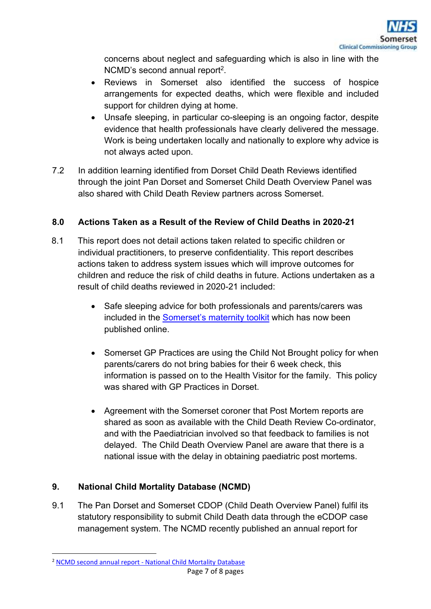concerns about neglect and safeguarding which is also in line with the NCMD's second annual report<sup>2</sup>.

- Reviews in Somerset also identified the success of hospice arrangements for expected deaths, which were flexible and included support for children dying at home.
- Unsafe sleeping, in particular co-sleeping is an ongoing factor, despite evidence that health professionals have clearly delivered the message. Work is being undertaken locally and nationally to explore why advice is not always acted upon.
- 7.2 In addition learning identified from Dorset Child Death Reviews identified through the joint Pan Dorset and Somerset Child Death Overview Panel was also shared with Child Death Review partners across Somerset.

# **8.0 Actions Taken as a Result of the Review of Child Deaths in 2020-21**

- 8.1 This report does not detail actions taken related to specific children or individual practitioners, to preserve confidentiality. This report describes actions taken to address system issues which will improve outcomes for children and reduce the risk of child deaths in future. Actions undertaken as a result of child deaths reviewed in 2020-21 included:
	- Safe sleeping advice for both professionals and parents/carers was included in the Somerset's maternity toolkit which has now been published online.
	- Somerset GP Practices are using the Child Not Brought policy for when parents/carers do not bring babies for their 6 week check, this information is passed on to the Health Visitor for the family. This policy was shared with GP Practices in Dorset.
	- Agreement with the Somerset coroner that Post Mortem reports are shared as soon as available with the Child Death Review Co-ordinator, and with the Paediatrician involved so that feedback to families is not delayed. The Child Death Overview Panel are aware that there is a national issue with the delay in obtaining paediatric post mortems.

# **9. National Child Mortality Database (NCMD)**

9.1 The Pan Dorset and Somerset CDOP (Child Death Overview Panel) fulfil its statutory responsibility to submit Child Death data through the eCDOP case management system. The NCMD recently published an annual report for

<sup>&</sup>lt;sup>2</sup> NCMD second annual report - National Child Mortality Database